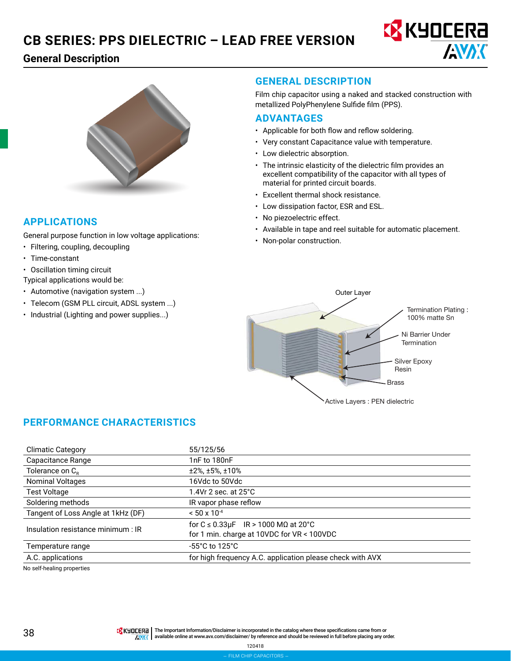# **General Description**





# **APPLICATIONS**

General purpose function in low voltage applications:

- Filtering, coupling, decoupling
- Time-constant
- Oscillation timing circuit

Typical applications would be:

- Automotive (navigation system ...)
- Telecom (GSM PLL circuit, ADSL system ...)
- Industrial (Lighting and power supplies...)

# **GENERAL DESCRIPTION**

Film chip capacitor using a naked and stacked construction with metallized PolyPhenylene Sulfide film (PPS).

#### **ADVANTAGES**

- Applicable for both flow and reflow soldering.
- Very constant Capacitance value with temperature.
- Low dielectric absorption.
- The intrinsic elasticity of the dielectric film provides an excellent compatibility of the capacitor with all types of material for printed circuit boards.
- Excellent thermal shock resistance.
- Low dissipation factor, ESR and ESL.
- No piezoelectric effect.
- Available in tape and reel suitable for automatic placement.
- Non-polar construction.



# **PERFORMANCE CHARACTERISTICS**

| <b>Climatic Category</b>           | 55/125/56                                                 |  |  |  |
|------------------------------------|-----------------------------------------------------------|--|--|--|
| Capacitance Range                  | 1nF to 180nF                                              |  |  |  |
| Tolerance on $C_R$                 | $±2\%$ , $±5\%$ , $±10\%$                                 |  |  |  |
| <b>Nominal Voltages</b>            | 16Vdc to 50Vdc                                            |  |  |  |
| <b>Test Voltage</b>                | 1.4Vr 2 sec. at $25^{\circ}$ C                            |  |  |  |
| Soldering methods                  | IR vapor phase reflow                                     |  |  |  |
| Tangent of Loss Angle at 1kHz (DF) | $< 50 \times 10^{-4}$                                     |  |  |  |
|                                    | for $C \le 0.33 \mu F$ IR > 1000 M $\Omega$ at 20°C       |  |  |  |
|                                    | for 1 min. charge at 10VDC for VR < 100VDC                |  |  |  |
| Temperature range                  | $-55^{\circ}$ C to 125 $^{\circ}$ C                       |  |  |  |
| A.C. applications                  | for high frequency A.C. application please check with AVX |  |  |  |
| Insulation resistance minimum : IR |                                                           |  |  |  |

No self-healing properties

**38 THE IMPORTERE THE IMPORTATION** Disclaimer is incorporated in the catalog where these specifications came from or<br>AWY available online at www.avx.com/disclaimer/ by reference and should be reviewed in full before placin available online at [www.avx.com/disclaimer/](http://www.avx.com/disclaimer/) by reference and should be reviewed in full before placing any order.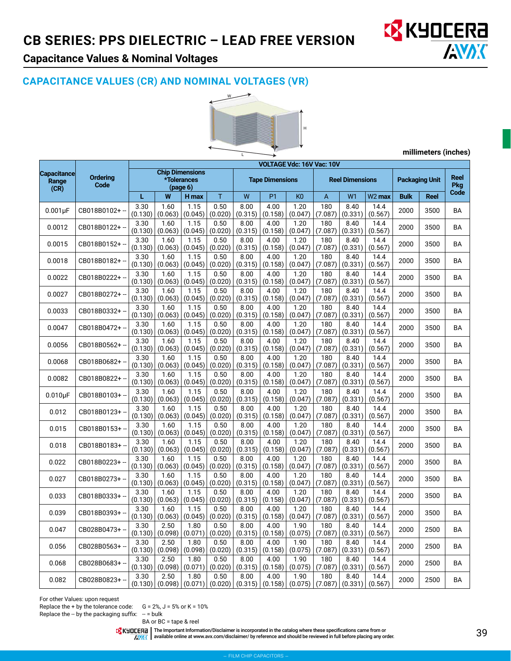

# **Capacitance Values & Nominal Voltages**

# **CAPACITANCE VALUES (CR) AND NOMINAL VOLTAGES (VR)**



**millimeters (inches)**

|                                     |                                                                              | <b>VOLTAGE Vdc: 16V Vac: 10V</b> |                 |                        |                 |                 |                 |                        |                |                       |                    |                                   |             |           |
|-------------------------------------|------------------------------------------------------------------------------|----------------------------------|-----------------|------------------------|-----------------|-----------------|-----------------|------------------------|----------------|-----------------------|--------------------|-----------------------------------|-------------|-----------|
| <b>Capacitance</b><br>Range<br>(CR) | <b>Chip Dimensions</b><br><b>Ordering</b><br>*Tolerances<br>Code<br>(page 6) |                                  |                 | <b>Tape Dimensions</b> |                 |                 |                 | <b>Reel Dimensions</b> |                | <b>Packaging Unit</b> |                    | <b>Reel</b><br><b>Pkg</b><br>Code |             |           |
|                                     |                                                                              | L                                | W               | H max                  | T               | W               | <b>P1</b>       | K <sub>0</sub>         | A              | W <sub>1</sub>        | W <sub>2</sub> max | <b>Bulk</b>                       | <b>Reel</b> |           |
| $0.001\mu F$                        | CB018B0102+-                                                                 | 3.30<br>(0.130)                  | 1.60<br>(0.063) | 1.15<br>(0.045)        | 0.50<br>(0.020) | 8.00<br>(0.315) | 4.00<br>(0.158) | 1.20<br>(0.047)        | 180<br>(7.087) | 8.40<br>(0.331)       | 14.4<br>(0.567)    | 2000                              | 3500        | <b>BA</b> |
| 0.0012                              | CB018B0122+ --                                                               | 3.30<br>(0.130)                  | 1.60<br>(0.063) | 1.15<br>(0.045)        | 0.50<br>(0.020) | 8.00<br>(0.315) | 4.00<br>(0.158) | 1.20<br>(0.047)        | 180<br>(7.087) | 8.40<br>(0.331)       | 14.4<br>(0.567)    | 2000                              | 3500        | <b>BA</b> |
| 0.0015                              | CB018B0152+-                                                                 | 3.30<br>(0.130)                  | 1.60<br>(0.063) | 1.15<br>(0.045)        | 0.50<br>(0.020) | 8.00<br>(0.315) | 4.00<br>(0.158) | 1.20<br>(0.047)        | 180<br>(7.087) | 8.40<br>(0.331)       | 14.4<br>(0.567)    | 2000                              | 3500        | <b>BA</b> |
| 0.0018                              | CB018B0182+-                                                                 | 3.30<br>(0.130)                  | 1.60<br>(0.063) | 1.15<br>(0.045)        | 0.50<br>(0.020) | 8.00<br>(0.315) | 4.00<br>(0.158) | 1.20<br>(0.047)        | 180<br>(7.087) | 8.40<br>(0.331)       | 14.4<br>(0.567)    | 2000                              | 3500        | <b>BA</b> |
| 0.0022                              | CB018B0222+ --                                                               | 3.30<br>(0.130)                  | 1.60<br>(0.063) | 1.15<br>(0.045)        | 0.50<br>(0.020) | 8.00<br>(0.315) | 4.00<br>(0.158) | 1.20<br>(0.047)        | 180<br>(7.087) | 8.40<br>(0.331)       | 14.4<br>(0.567)    | 2000                              | 3500        | <b>BA</b> |
| 0.0027                              | CB018B0272+-                                                                 | 3.30<br>(0.130)                  | 1.60<br>(0.063) | 1.15<br>(0.045)        | 0.50<br>(0.020) | 8.00<br>(0.315) | 4.00<br>(0.158) | 1.20<br>(0.047)        | 180<br>(7.087) | 8.40<br>(0.331)       | 14.4<br>(0.567)    | 2000                              | 3500        | <b>BA</b> |
| 0.0033                              | CB018B0332+-                                                                 | 3.30<br>(0.130)                  | 1.60<br>(0.063) | 1.15<br>(0.045)        | 0.50<br>(0.020) | 8.00<br>(0.315) | 4.00<br>(0.158) | 1.20<br>(0.047)        | 180<br>(7.087) | 8.40<br>(0.331)       | 14.4<br>(0.567)    | 2000                              | 3500        | <b>BA</b> |
| 0.0047                              | CB018B0472+-                                                                 | 3.30<br>(0.130)                  | 1.60<br>(0.063) | 1.15<br>(0.045)        | 0.50<br>(0.020) | 8.00<br>(0.315) | 4.00<br>(0.158) | 1.20<br>(0.047)        | 180<br>(7.087) | 8.40<br>(0.331)       | 14.4<br>(0.567)    | 2000                              | 3500        | BA        |
| 0.0056                              | CB018B0562+-                                                                 | 3.30<br>(0.130)                  | 1.60<br>(0.063) | 1.15<br>(0.045)        | 0.50<br>(0.020) | 8.00<br>(0.315) | 4.00<br>(0.158) | 1.20<br>(0.047)        | 180<br>(7.087) | 8.40<br>(0.331)       | 14.4<br>(0.567)    | 2000                              | 3500        | <b>BA</b> |
| 0.0068                              | CB018B0682+ -                                                                | 3.30<br>(0.130)                  | 1.60<br>(0.063) | 1.15<br>(0.045)        | 0.50<br>(0.020) | 8.00<br>(0.315) | 4.00<br>(0.158) | 1.20<br>(0.047)        | 180<br>(7.087) | 8.40<br>(0.331)       | 14.4<br>(0.567)    | 2000                              | 3500        | BA        |
| 0.0082                              | CB018B0822+-                                                                 | 3.30<br>(0.130)                  | 1.60<br>(0.063) | 1.15<br>(0.045)        | 0.50<br>(0.020) | 8.00<br>(0.315) | 4.00<br>(0.158) | 1.20<br>(0.047)        | 180<br>(7.087) | 8.40<br>(0.331)       | 14.4<br>(0.567)    | 2000                              | 3500        | <b>BA</b> |
| $0.010\mu F$                        | CB018B0103+-                                                                 | 3.30<br>(0.130)                  | 1.60<br>(0.063) | 1.15<br>(0.045)        | 0.50<br>(0.020) | 8.00<br>(0.315) | 4.00<br>(0.158) | 1.20<br>(0.047)        | 180<br>(7.087) | 8.40<br>(0.331)       | 14.4<br>(0.567)    | 2000                              | 3500        | <b>BA</b> |
| 0.012                               | CB018B0123+-                                                                 | 3.30<br>(0.130)                  | 1.60<br>(0.063) | 1.15<br>(0.045)        | 0.50<br>(0.020) | 8.00<br>(0.315) | 4.00<br>(0.158) | 1.20<br>(0.047)        | 180<br>(7.087) | 8.40<br>(0.331)       | 14.4<br>(0.567)    | 2000                              | 3500        | BA        |
| 0.015                               | CB018B0153+-                                                                 | 3.30<br>(0.130)                  | 1.60<br>(0.063) | 1.15<br>(0.045)        | 0.50<br>(0.020) | 8.00<br>(0.315) | 4.00<br>(0.158) | 1.20<br>(0.047)        | 180<br>(7.087) | 8.40<br>(0.331)       | 14.4<br>(0.567)    | 2000                              | 3500        | BA        |
| 0.018                               | CB018B0183+                                                                  | 3.30<br>(0.130)                  | 1.60<br>(0.063) | 1.15<br>(0.045)        | 0.50<br>(0.020) | 8.00<br>(0.315) | 4.00<br>(0.158) | 1.20<br>(0.047)        | 180<br>(7.087) | 8.40<br>(0.331)       | 14.4<br>(0.567)    | 2000                              | 3500        | <b>BA</b> |
| 0.022                               | CB018B0223+-                                                                 | 3.30<br>(0.130)                  | 1.60<br>(0.063) | 1.15<br>(0.045)        | 0.50<br>(0.020) | 8.00<br>(0.315) | 4.00<br>(0.158) | 1.20<br>(0.047)        | 180<br>(7.087) | 8.40<br>(0.331)       | 14.4<br>(0.567)    | 2000                              | 3500        | BA        |
| 0.027                               | CB018B0273+-                                                                 | 3.30<br>(0.130)                  | 1.60<br>(0.063) | 1.15<br>(0.045)        | 0.50<br>(0.020) | 8.00<br>(0.315) | 4.00<br>(0.158) | 1.20<br>(0.047)        | 180<br>(7.087) | 8.40<br>(0.331)       | 14.4<br>(0.567)    | 2000                              | 3500        | BA        |
| 0.033                               | CB018B0333+-                                                                 | 3.30<br>(0.130)                  | 1.60<br>(0.063) | 1.15<br>(0.045)        | 0.50<br>(0.020) | 8.00<br>(0.315) | 4.00<br>(0.158) | 1.20<br>(0.047)        | 180<br>(7.087) | 8.40<br>(0.331)       | 14.4<br>(0.567)    | 2000                              | 3500        | <b>BA</b> |
| 0.039                               | CB018B0393+-                                                                 | 3.30<br>(0.130)                  | 1.60<br>(0.063) | 1.15<br>(0.045)        | 0.50<br>(0.020) | 8.00<br>(0.315) | 4.00<br>(0.158) | 1.20<br>(0.047)        | 180<br>(7.087) | 8.40<br>(0.331)       | 14.4<br>(0.567)    | 2000                              | 3500        | <b>BA</b> |
| 0.047                               | CB028B0473+-                                                                 | 3.30<br>(0.130)                  | 2.50<br>(0.098) | 1.80<br>(0.071)        | 0.50<br>(0.020) | 8.00<br>(0.315) | 4.00<br>(0.158) | 1.90<br>(0.075)        | 180<br>(7.087) | 8.40<br>(0.331)       | 14.4<br>(0.567)    | 2000                              | 2500        | <b>BA</b> |
| 0.056                               | CB028B0563+-                                                                 | 3.30<br>(0.130)                  | 2.50<br>(0.098) | 1.80<br>(0.098)        | 0.50<br>(0.020) | 8.00<br>(0.315) | 4.00<br>(0.158) | 1.90<br>(0.075)        | 180<br>(7.087) | 8.40<br>(0.331)       | 14.4<br>(0.567)    | 2000                              | 2500        | <b>BA</b> |
| 0.068                               | CB028B0683+-                                                                 | 3.30<br>(0.130)                  | 2.50<br>(0.098) | 1.80<br>(0.071)        | 0.50<br>(0.020) | 8.00<br>(0.315) | 4.00<br>(0.158) | 1.90<br>(0.075)        | 180<br>(7.087) | 8.40<br>(0.331)       | 14.4<br>(0.567)    | 2000                              | 2500        | BA        |
| 0.082                               | CB028B0823+-                                                                 | 3.30<br>(0.130)                  | 2.50<br>(0.098) | 1.80<br>(0.071)        | 0.50<br>(0.020) | 8.00<br>(0.315) | 4.00<br>(0.158) | 1.90<br>(0.075)        | 180<br>(7.087) | 8.40<br>(0.331)       | 14.4<br>(0.567)    | 2000                              | 2500        | <b>BA</b> |

For other Values: upon request

Replace the + by the tolerance code:  $G = 2\%$ ,  $J = 5\%$  or  $K = 10\%$ Replace the  $-$  by the packaging suffix:  $-$  = bulk

BA or BC = tape & reel

The Important Information/Disclaimer is incorporated in the catalog where these specifications came from or<br>available online at [www.avx.com/disclaimer/](http://www.avx.com/disclaimer/) by reference and should be reviewed in full before placing any order.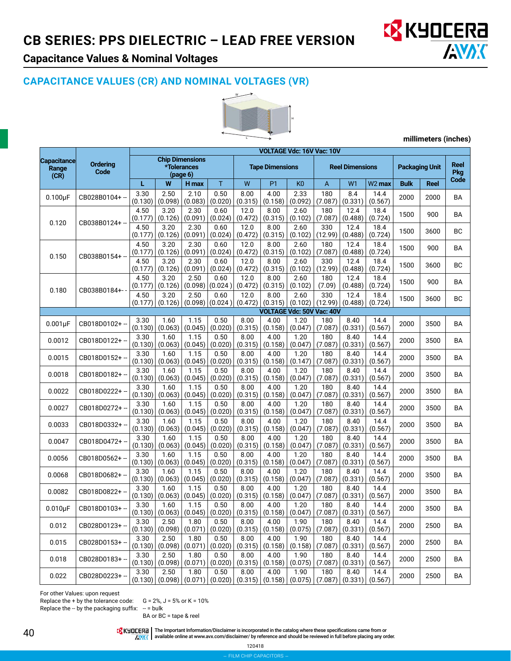

# **Capacitance Values & Nominal Voltages**

# **CAPACITANCE VALUES (CR) AND NOMINAL VOLTAGES (VR)**



**millimeters (inches)**

|                                                         |                | VOLTAGE Vdc: 16V Vac: 10V                         |                 |                 |                                                 |                 |                           |                                     |                          |                 |                       |             |                     |           |
|---------------------------------------------------------|----------------|---------------------------------------------------|-----------------|-----------------|-------------------------------------------------|-----------------|---------------------------|-------------------------------------|--------------------------|-----------------|-----------------------|-------------|---------------------|-----------|
| <b>Capacitance</b><br>Ordering<br>Range<br>Code<br>(CR) |                | <b>Chip Dimensions</b><br>*Tolerances<br>(page 6) |                 |                 | <b>Tape Dimensions</b>                          |                 |                           | <b>Reel Dimensions</b>              |                          |                 | <b>Packaging Unit</b> |             | Reel<br>Pkg<br>Code |           |
|                                                         |                | L                                                 | W               | H max           | Τ                                               | W               | <b>P1</b>                 | K <sub>0</sub>                      | A                        | W <sub>1</sub>  | W <sub>2</sub> max    | <b>Bulk</b> | <b>Reel</b>         |           |
| $0.100\mu F$                                            | CB028B0104+-   | 3.30<br>(0.130)                                   | 2.50<br>(0.098) | 2.10<br>(0.083) | 0.50<br>(0.020)                                 | 8.00<br>(0.315) | 4.00<br>(0.158)           | 2.33<br>(0.092)                     | 180<br>(7.087)           | 8.4<br>(0.331)  | 14.4<br>(0.567)       | 2000        | 2000                | BA        |
| 0.120                                                   | CB038B0124+-   | 4.50<br>(0.177)                                   | 3.20<br>(0.126) | 2.30<br>(0.091) | 0.60<br>(0.024)                                 | 12.0<br>(0.472) | 8.00<br>(0.315)           | 2.60<br>(0.102)                     | 180<br>(7.087)           | 12.4<br>(0.488) | 18.4<br>(0.724)       | 1500        | 900                 | BA        |
|                                                         |                | 4.50<br>(0.177)                                   | 3.20<br>(0.126) | 2.30<br>(0.091) | 0.60<br>(0.024)                                 | 12.0<br>(0.472) | 8.00<br>(0.315)           | 2.60<br>(0.102)                     | 330<br>(12.99)           | 12.4<br>(0.488) | 18.4<br>(0.724)       | 1500        | 3600                | BC        |
| 0.150                                                   | CB038B0154+-   | 4.50<br>(0.177)                                   | 3.20<br>(0.126) | 2.30<br>(0.091) | 0.60<br>(0.024)                                 | 12.0<br>(0.472) | 8.00<br>(0.315)           | 2.60<br>(0.102)                     | 180<br>(7.087)           | 12.4<br>(0.488) | 18.4<br>(0.724)       | 1500        | 900                 | BA        |
|                                                         |                | 4.50<br>(0.177)                                   | 3.20<br>(0.126) | 2.30<br>(0.091) | 0.60<br>(0.024)                                 | 12.0<br>(0.472) | 8.00<br>(0.315)           | 2.60<br>(0.102)                     | 330<br>(12.99)           | 12.4<br>(0.488) | 18.4<br>(0.724)       | 1500        | 3600                | BC        |
| 0.180                                                   | CB038B0184+-   | 4.50<br>(0.177)                                   | 3.20<br>(0.126) | 2.50<br>(0.098) | 0.60<br>(0.024)                                 | 12.0<br>(0.472) | 8.00<br>(0.315)           | 2.60<br>(0.102)                     | 180<br>(7.09)            | 12.4<br>(0.488) | 18.4<br>(0.724)       | 1500        | 900                 | BA        |
|                                                         |                | 4.50<br>(0.177)                                   | 3.20<br>(0.126) | 2.50<br>(0.098) | 0.60<br>(0.024)                                 | 12.0<br>(0.472) | 8.00<br>(0.315)           | 2.60<br>(0.102)                     | 330<br>(12.99)           | 12.4<br>(0.488) | 18.4<br>(0.724)       | 1500        | 3600                | <b>BC</b> |
|                                                         |                |                                                   |                 |                 |                                                 |                 |                           | <b>VOLTAGE Vdc: 50V Vac: 40V</b>    |                          |                 |                       |             |                     |           |
| $0.001\mu F$                                            | CB018D0102+-   | 3.30<br>(0.130)                                   | 1.60<br>(0.063) | 1.15<br>(0.045) | 0.50<br>(0.020)                                 | 8.00<br>(0.315) | 4.00<br>(0.158)           | 1.20<br>(0.047)                     | 180<br>(7.087)           | 8.40<br>(0.331) | 14.4<br>(0.567)       | 2000        | 3500                | <b>BA</b> |
| 0.0012                                                  | CB018D0122+ -- | 3.30<br>(0.130)                                   | 1.60<br>(0.063) | 1.15<br>(0.045) | 0.50<br>(0.020)                                 | 8.00<br>(0.315) | 4.00<br>(0.158)           | 1.20<br>(0.047)                     | 180<br>(7.087)           | 8.40<br>(0.331) | 14.4<br>(0.567)       | 2000        | 3500                | BA        |
| 0.0015                                                  | CB018D0152+-   | 3.30<br>(0.130)                                   | 1.60<br>(0.063) | 1.15<br>(0.045) | 0.50<br>(0.020)                                 | 8.00<br>(0.315) | 4.00<br>(0.158)           | 1.20<br>(0.147)                     | 180<br>(7.087)           | 8.40<br>(0.331) | 14.4<br>(0.567)       | 2000        | 3500                | BA        |
| 0.0018                                                  | CB018D0182+ -- | 3.30<br>(0.130)                                   | 1.60<br>(0.063) | 1.15<br>(0.045) | 0.50<br>(0.020)                                 | 8.00<br>(0.315) | 4.00<br>(0.158)           | 1.20<br>(0.047)                     | 180<br>(7.087)           | 8.40<br>(0.331) | 14.4<br>(0.567)       | 2000        | 3500                | BA        |
| 0.0022                                                  | CB018D0222+-   | 3.30<br>(0.130)                                   | 1.60<br>(0.063) | 1.15<br>(0.045) | 0.50<br>(0.020)                                 | 8.00<br>(0.315) | 4.00<br>(0.158)           | 1.20<br>(0.047)                     | 180<br>(7.087)           | 8.40<br>(0.331) | 14.4<br>(0.567)       | 2000        | 3500                | BA        |
| 0.0027                                                  | CB018D0272+ -  | 3.30<br>(0.130)                                   | 1.60<br>(0.063) | 1.15<br>(0.045) | 0.50<br>(0.020)                                 | 8.00<br>(0.315) | 4.00<br>(0.158)           | 1.20<br>(0.047)                     | 180<br>(7.087)           | 8.40<br>(0.331) | 14.4<br>(0.567)       | 2000        | 3500                | <b>BA</b> |
| 0.0033                                                  | CB018D0332+ -  | 3.30<br>(0.130)                                   | 1.60<br>(0.063) | 1.15<br>(0.045) | 0.50<br>(0.020)                                 | 8.00<br>(0.315) | 4.00<br>(0.158)           | 1.20<br>(0.047)                     | 180<br>(7.087)           | 8.40<br>(0.331) | 14.4<br>(0.567)       | 2000        | 3500                | BA        |
| 0.0047                                                  | CB018D0472+-   | 3.30<br>(0.130)                                   | 1.60<br>(0.063) | 1.15<br>(0.045) | 0.50<br>(0.020)                                 | 8.00<br>(0.315) | 4.00<br>(0.158)           | 1.20<br>(0.047)                     | 180<br>(7.087)           | 8.40<br>(0.331) | 14.4<br>(0.567)       | 2000        | 3500                | BA        |
| 0.0056                                                  | CB018D0562+-   | 3.30<br>(0.130)                                   | 1.60<br>(0.063) | 1.15<br>(0.045) | 0.50<br>(0.020)                                 | 8.00<br>(0.315) | 4.00<br>(0.158)           | 1.20<br>(0.047)                     | 180<br>(7.087)           | 8.40<br>(0.331) | 14.4<br>(0.567)       | 2000        | 3500                | BA        |
| 0.0068                                                  | CB018D0682+ -- | 3.30<br>(0.130)                                   | 1.60<br>(0.063) | 1.15<br>(0.045) | 0.50<br>(0.020)                                 | 8.00<br>(0.315) | 4.00<br>(0.158)           | 1.20<br>(0.047)                     | 180<br>(7.087)           | 8.40<br>(0.331) | 14.4<br>(0.567)       | 2000        | 3500                | BA        |
| 0.0082                                                  | CB018D0822+ -- | 3.30<br>(0.130)                                   | 1.60<br>(0.063) | 1.15<br>(0.045) | 0.50<br>(0.020)                                 | 8.00<br>(0.315) | 4.00<br>(0.158)           | 1.20<br>(0.047)                     | 180<br>(7.087)           | 8.40<br>(0.331) | 14.4<br>(0.567)       | 2000        | 3500                | BA        |
| $0.010\mu F$                                            | CB018D0103+-   | 3.30<br>(0.130)                                   | 1.60<br>(0.063) | 1.15<br>(0.045) | 0.50<br>(0.020)                                 | 8.00<br>(0.315) | 4.00<br>(0.158)           | 1.20<br>(0.047)                     | 180<br>(7.087)           | 8.40<br>(0.331) | 14.4<br>(0.567)       | 2000        | 3500                | BA        |
| 0.012                                                   | CB028D0123+-   | 3.30<br>(0.130)                                   | 2.50            | 1.80            | 0.50<br>(0.098)   (0.071)   (0.020)             | 8.00            | 4.00                      | 1.90<br>(0.315)   (0.158)   (0.075) | 180<br>(7.087)           | 8.40<br>(0.331) | 14.4<br>(0.567)       | 2000        | 2500                | BA        |
| 0.015                                                   | CB028D0153+ -- | 3.30<br>(0.130)                                   | 2.50<br>(0.098) | 1.80<br>(0.071) | 0.50<br>(0.020)                                 | 8.00<br>(0.315) | 4.00<br>(0.158)           | 1.90<br>(0.158)                     | 180<br>(7.087)           | 8.40<br>(0.331) | 14.4<br>(0.567)       | 2000        | 2500                | BA        |
| 0.018                                                   | CB028D0183+-   | 3.30<br>(0.130)                                   | 2.50<br>(0.098) | 1.80<br>(0.071) | 0.50<br>(0.020)                                 | 8.00<br>(0.315) | 4.00<br>(0.158)           | 1.90<br>(0.075)                     | 180<br>(7.087)           | 8.40<br>(0.331) | 14.4<br>(0.567)       | 2000        | 2500                | BA        |
| 0.022                                                   | CB028D0223+ -- | 3.30                                              | 2.50            | 1.80            | 0.50<br>$(0.130)$ $(0.098)$ $(0.071)$ $(0.020)$ | 8.00            | 4.00<br>(0.315)   (0.158) | 1.90                                | 180<br>$(0.075)$ (7.087) | 8.40<br>(0.331) | 14.4<br>(0.567)       | 2000        | 2500                | BA        |

For other Values: upon request

Replace the + by the tolerance code:  $G = 2\%$ ,  $J = 5\%$  or  $K = 10\%$ Replace the  $-$  by the packaging suffix:  $-$  = bulk

BA or BC = tape & reel

 $\frac{10}{10}$  KYDEERE The Important Information/Disclaimer is incorporated in the catalog where these specifications came from or<br>And available online at [www.avx.com/disclaimer/](http://www.avx.com/disclaimer/) by reference and should be reviewed in full b

120418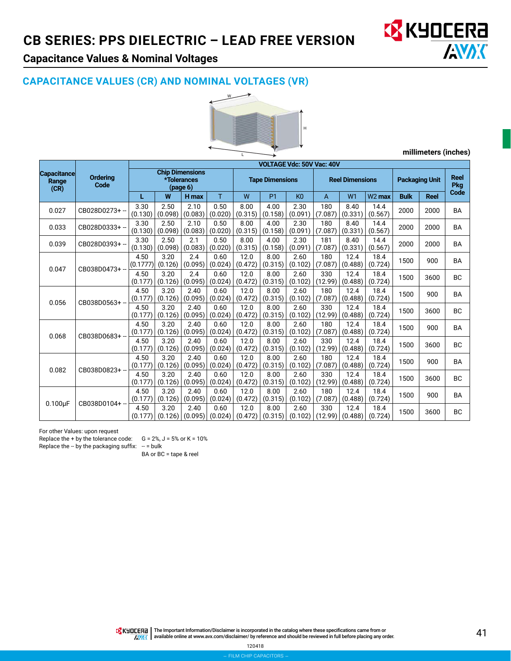

# **Capacitance Values & Nominal Voltages**

#### **CAPACITANCE VALUES (CR) AND NOMINAL VOLTAGES (VR)**



**millimeters (inches)**

|                                     |                         |                                                   |                 |                 |                        |                 |                 | <b>VOLTAGE Vdc: 50V Vac: 40V</b> |                 |                 |                       |                 |                           |           |           |
|-------------------------------------|-------------------------|---------------------------------------------------|-----------------|-----------------|------------------------|-----------------|-----------------|----------------------------------|-----------------|-----------------|-----------------------|-----------------|---------------------------|-----------|-----------|
| <b>Capacitance</b><br>Range<br>(CR) | <b>Ordering</b><br>Code | <b>Chip Dimensions</b><br>*Tolerances<br>(page 6) |                 |                 | <b>Tape Dimensions</b> |                 |                 | <b>Reel Dimensions</b>           |                 |                 | <b>Packaging Unit</b> |                 | <b>Reel</b><br><b>Pkg</b> |           |           |
|                                     |                         | L                                                 | W               | H max           | T                      | W               | <b>P1</b>       | K <sub>0</sub>                   | A               | W1              | $W2$ max              | <b>Bulk</b>     | <b>Reel</b>               | Code      |           |
| 0.027                               | CB028D0273+-            | 3.30<br>(0.130)                                   | 2.50<br>(0.098) | 2.10<br>(0.083) | 0.50<br>(0.020)        | 8.00<br>(0.315) | 4.00<br>(0.158) | 2.30<br>(0.091)                  | 180<br>(7.087)  | 8.40<br>(0.331) | 14.4<br>(0.567)       | 2000            | 2000                      | <b>BA</b> |           |
| 0.033                               | CB028D0333+-            | 3.30<br>(0.130)                                   | 2.50<br>(0.098) | 2.10<br>(0.083) | 0.50<br>(0.020)        | 8.00<br>(0.315) | 4.00<br>(0.158) | 2.30<br>(0.091)                  | 180<br>(7.087)  | 8.40<br>(0.331) | 14.4<br>(0.567)       | 2000            | 2000                      | <b>BA</b> |           |
| 0.039                               | CB028D0393+-            | 3.30<br>(0.130)                                   | 2.50<br>(0.098) | 2.1<br>(0.083)  | 0.50<br>(0.020)        | 8.00<br>(0.315) | 4.00<br>(0.158) | 2.30<br>(0.091)                  | 181<br>(7.087)  | 8.40<br>(0.331) | 14.4<br>(0.567)       | 2000            | 2000                      | <b>BA</b> |           |
|                                     |                         | 4.50<br>(0.1777)                                  | 3.20<br>(0.126) | 2.4<br>(0.095)  | 0.60<br>(0.024)        | 12.0<br>(0.472) | 8.00<br>(0.315) | 2.60<br>(0.102)                  | 180<br>(7.087)  | 12.4<br>(0.488) | 18.4<br>(0.724)       | 1500            | 900                       | <b>BA</b> |           |
| 0.047                               | CB038D0473+-            | 4.50<br>(0.177)                                   | 3.20<br>(0.126) | 2.4<br>(0.095)  | 0.60<br>(0.024)        | 12.0<br>(0.472) | 8.00<br>(0.315) | 2.60<br>(0.102)                  | 330<br>(12.99)  | 12.4<br>(0.488) | 18.4<br>(0.724)       | 1500            | 3600                      | <b>BC</b> |           |
|                                     | 0.056                   | CB038D0563+-                                      | 4.50<br>(0.177) | 3.20<br>(0.126) | 2.40<br>(0.095)        | 0.60<br>(0.024) | 12.0<br>(0.472) | 8.00<br>(0.315)                  | 2.60<br>(0.102) | 180<br>(7.087)  | 12.4<br>(0.488)       | 18.4<br>(0.724) | 1500                      | 900       | <b>BA</b> |
|                                     |                         | 4.50<br>(0.177)                                   | 3.20<br>(0.126) | 2.40<br>(0.095) | 0.60<br>(0.024)        | 12.0<br>(0.472) | 8.00<br>(0.315) | 2.60<br>(0.102)                  | 330<br>(12.99)  | 12.4<br>(0.488) | 18.4<br>(0.724)       | 1500            | 3600                      | <b>BC</b> |           |
|                                     |                         | 4.50<br>(0.177)                                   | 3.20<br>(0.126) | 2.40<br>(0.095) | 0.60<br>(0.024)        | 12.0<br>(0.472) | 8.00<br>(0.315) | 2.60<br>(0.102)                  | 180<br>(7.087)  | 12.4<br>(0.488) | 18.4<br>(0.724)       | 1500            | 900                       | <b>BA</b> |           |
| 0.068                               | CB038D0683+-            | 4.50<br>(0.177)                                   | 3.20<br>(0.126) | 2.40<br>(0.095) | 0.60<br>(0.024)        | 12.0<br>(0.472) | 8.00<br>(0.315) | 2.60<br>(0.102)                  | 330<br>(12.99)  | 12.4<br>(0.488) | 18.4<br>(0.724)       | 1500            | 3600                      | <b>BC</b> |           |
|                                     | CB038D0823+-            | 4.50<br>(0.177)                                   | 3.20<br>(0.126) | 2.40<br>(0.095) | 0.60<br>(0.024)        | 12.0<br>(0.472) | 8.00<br>(0.315) | 2.60<br>(0.102)                  | 180<br>(7.087)  | 12.4<br>(0.488) | 18.4<br>(0.724)       | 1500            | 900                       | <b>BA</b> |           |
| 0.082                               |                         | 4.50<br>(0.177)                                   | 3.20<br>(0.126) | 2.40<br>(0.095) | 0.60<br>(0.024)        | 12.0<br>(0.472) | 8.00<br>(0.315) | 2.60<br>(0.102)                  | 330<br>(12.99)  | 12.4<br>(0.488) | 18.4<br>(0.724)       | 1500            | 3600                      | <b>BC</b> |           |
|                                     | CB038D0104+ --          | 4.50<br>(0.177)                                   | 3.20<br>(0.126) | 2.40<br>(0.095) | 0.60<br>(0.024)        | 12.0<br>(0.472) | 8.00<br>(0.315) | 2.60<br>(0.102)                  | 180<br>(7.087)  | 12.4<br>(0.488) | 18.4<br>(0.724)       | 1500            | 900                       | <b>BA</b> |           |
| $0.100\mu F$                        |                         | 4.50<br>(0.177)                                   | 3.20<br>(0.126) | 2.40<br>(0.095) | 0.60<br>(0.024)        | 12.0<br>(0.472) | 8.00<br>(0.315) | 2.60<br>(0.102)                  | 330<br>(12.99)  | 12.4<br>(0.488) | 18.4<br>(0.724)       | 1500            | 3600                      | <b>BC</b> |           |

For other Values: upon request

Replace the + by the tolerance code:  $G = 2\%$ ,  $J = 5\%$  or  $K = 10\%$ 

Replace the  $-$  by the packaging suffix:  $-$  = bulk

BA or BC = tape & reel

The Important Information/Disclaimer is incorporated in the catalog where these specifications came from or<br>available online at [www.avx.com/disclaimer/](http://www.avx.com/disclaimer/) by reference and should be reviewed in full before placing any order.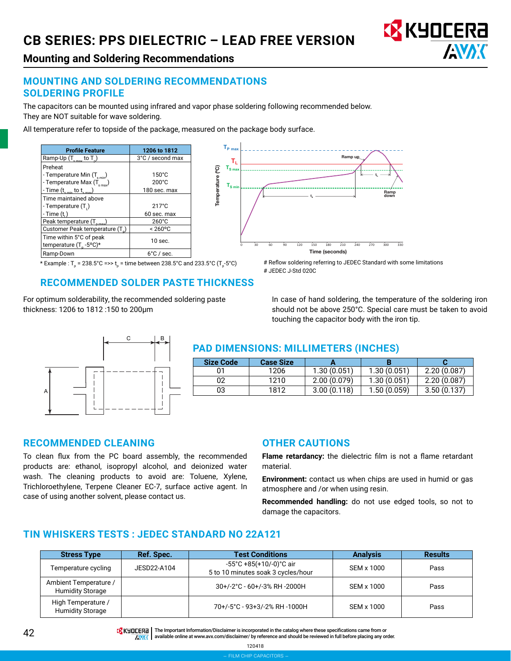# **CB SERIES: PPS DIELECTRIC – LEAD FREE VERSION**



**Mounting and Soldering Recommendations**

#### **MOUNTING AND SOLDERING RECOMMENDATIONS SOLDERING PROFILE**

The capacitors can be mounted using infrared and vapor phase soldering following recommended below. They are NOT suitable for wave soldering.

Temperature (ºC)

Temperature (°C)

**TL**

 $T_{\rm sm}$ 

**TS max**

 $\mathsf{T}_{\mathsf{P}}$   $_{\mathsf{max}}$ 

All temperature refer to topside of the package, measured on the package body surface.

| <b>Profile Feature</b>                                                                                                            | 1206 to 1812                                       |
|-----------------------------------------------------------------------------------------------------------------------------------|----------------------------------------------------|
| Ramp-Up $(T_{\rm smax}$ to $T_{\rm p}$ )                                                                                          | 3°C / second max                                   |
| Preheat<br>- Temperature Min (T <sub>smin</sub> )<br>- Temperature Max $(T_{\text{max}})$<br>- Time $(t_{s,min}$ to $t_{s,max}$ ) | $150^{\circ}$ C<br>$200^{\circ}$ C<br>180 sec. max |
| Time maintained above<br>- Temperature (T,)                                                                                       | $217^{\circ}$ C                                    |
| - Time (t.)                                                                                                                       | 60 sec. max                                        |
| Peak temperature (T <sub>nma</sub>                                                                                                | $260^{\circ}$ C                                    |
| Customer Peak temperature (T)                                                                                                     | $< 260^{\circ}$ C                                  |
| Time within 5°C of peak<br>temperature $(T_{\text{R}} - 5^{\circ}C)^*$                                                            | $10$ sec.                                          |
| Ramp-Down                                                                                                                         | $6^{\circ}$ C / sec.                               |



#### **RECOMMENDED SOLDER PASTE THICKNESS**

For optimum solderability, the recommended soldering paste thickness: 1206 to 1812 :150 to 200μm

In case of hand soldering, the temperature of the soldering iron should not be above 250°C. Special care must be taken to avoid touching the capacitor body with the iron tip.

**tL**

Ramp down

# Reflow soldering referring to JEDEC Standard with some limitations

Ramp up

0 30 60 90 120 150 180 210 240 270 300 330

**ts**

Time (seconds)



#### **PAD DIMENSIONS: MILLIMETERS (INCHES)**

# JEDEC J-Std 020C

| Size Code | <b>Case Size</b> |             |             |             |
|-----------|------------------|-------------|-------------|-------------|
|           | 1206             | 1.30(0.051) | 1.30(0.051) | 2.20(0.087) |
| 02        | 1210             | 2.00(0.079) | 1.30(0.051) | 2.20(0.087) |
| 03        | 1812             | 3.00(0.118) | 1.50(0.059) | 3.50(0.137) |

#### **RECOMMENDED CLEANING**

To clean flux from the PC board assembly, the recommended products are: ethanol, isopropyl alcohol, and deionized water wash. The cleaning products to avoid are: Toluene, Xylene, Trichloroethylene, Terpene Cleaner EC-7, surface active agent. In case of using another solvent, please contact us.

#### **OTHER CAUTIONS**

**Flame retardancy:** the dielectric film is not a flame retardant material.

**Environment:** contact us when chips are used in humid or gas atmosphere and /or when using resin.

**Recommended handling:** do not use edged tools, so not to damage the capacitors.

#### **TIN WHISKERS TESTS : JEDEC STANDARD NO 22A121**

| <b>Stress Type</b>                               | Ref. Spec.  | <b>Test Conditions</b>                                                             | <b>Analysis</b> | <b>Results</b> |
|--------------------------------------------------|-------------|------------------------------------------------------------------------------------|-----------------|----------------|
| Temperature cycling                              | JESD22-A104 | $-55^{\circ}$ C +85(+10/-0) $^{\circ}$ C air<br>5 to 10 minutes soak 3 cycles/hour | SEM x 1000      | Pass           |
| Ambient Temperature /<br><b>Humidity Storage</b> |             | 30+/-2°C - 60+/-3% RH -2000H                                                       | SEM x 1000      | Pass           |
| High Temperature /<br><b>Humidity Storage</b>    |             | 70+/-5°C - 93+3/-2% RH-1000H                                                       | SEM x 1000      | Pass           |

**42** The Important Information/Disclaimer is incorporated in the catalog where these specifications came from or<br>AWY available online at www.avx.com/disclaimer/ by reference and should be reviewed in full before placing a

available online at [www.avx.com/disclaimer/](http://www.avx.com/disclaimer/) by reference and should be reviewed in full before placing any order.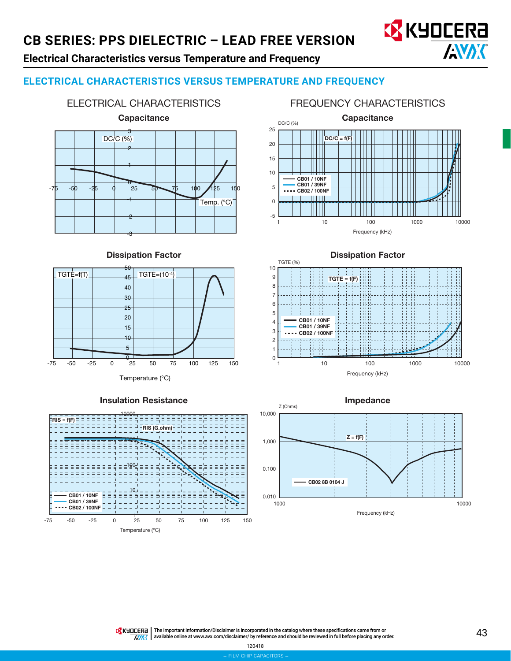# **CB SERIES: PPS DIELECTRIC – LEAD FREE VERSION**



# **Electrical Characteristics versus Temperature and Frequency**

# **ELECTRICAL CHARACTERISTICS VERSUS TEMPERATURE AND FREQUENCY**



ELECTRICAL CHARACTERISTICS

#### FREQUENCY CHARACTERISTICS



50 Dissipation Factor













The Important Information/Disclaimer is incorporated in the catalog where these specifications came from or<br>available online at [www.avx.com/disclaimer/](http://www.avx.com/disclaimer/) by reference and should be reviewed in full before placing any order. **AMAK**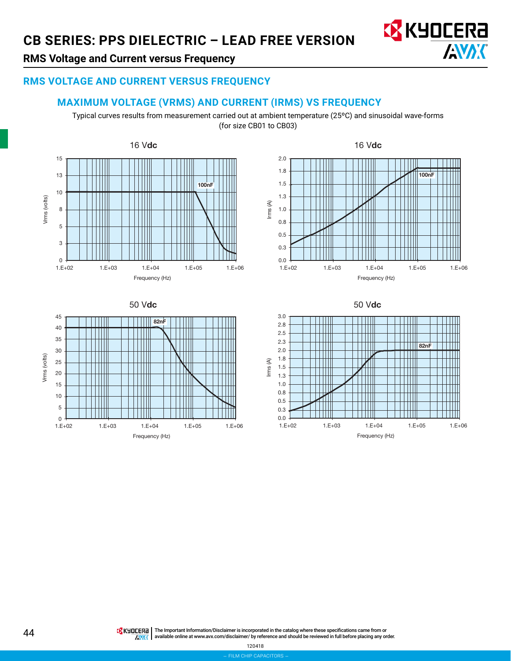

## **RMS Voltage and Current versus Frequency**

#### **RMS VOLTAGE AND CURRENT VERSUS FREQUENCY**

#### **MAXIMUM VOLTAGE (VRMS) AND CURRENT (IRMS) VS FREQUENCY**

Typical curves results from measurement carried out at ambient temperature (25ºC) and sinusoidal wave-forms (for size CB01 to CB03)